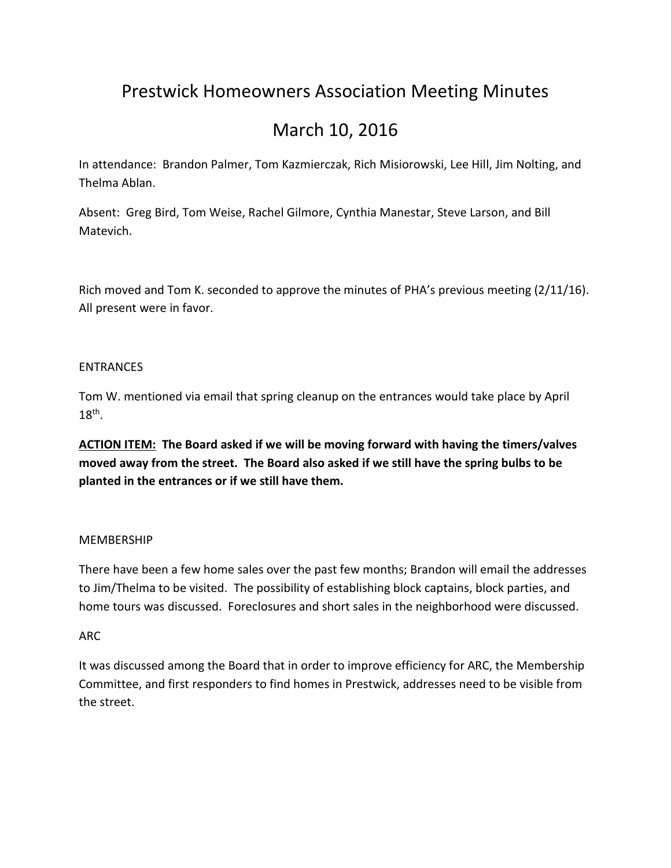# Prestwick Homeowners Association Meeting Minutes

# March 10, 2016

In attendance: Brandon Palmer, Tom Kazmierczak, Rich Misiorowski, Lee Hill, Jim Nolting, and Thelma Ablan.

Absent: Greg Bird, Tom Weise, Rachel Gilmore, Cynthia Manestar, Steve Larson, and Bill Matevich.

Rich moved and Tom K. seconded to approve the minutes of PHA's previous meeting (2/11/16). All present were in favor.

## ENTRANCES

Tom W. mentioned via email that spring cleanup on the entrances would take place by April  $18^{\text{th}}$ .

**ACTION ITEM: The Board asked if we will be moving forward with having the timers/valves moved away from the street. The Board also asked if we still have the spring bulbs to be planted in the entrances or if we still have them.**

#### MEMBERSHIP

There have been a few home sales over the past few months; Brandon will email the addresses to Jim/Thelma to be visited. The possibility of establishing block captains, block parties, and home tours was discussed. Foreclosures and short sales in the neighborhood were discussed.

# ARC

It was discussed among the Board that in order to improve efficiency for ARC, the Membership Committee, and first responders to find homes in Prestwick, addresses need to be visible from the street.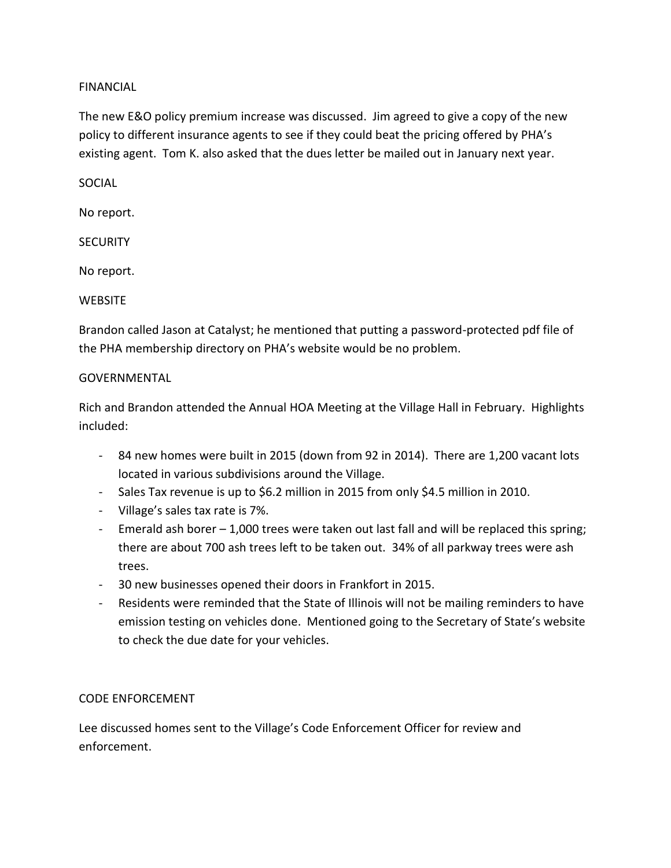## FINANCIAL

The new E&O policy premium increase was discussed. Jim agreed to give a copy of the new policy to different insurance agents to see if they could beat the pricing offered by PHA's existing agent. Tom K. also asked that the dues letter be mailed out in January next year.

SOCIAL

No report.

**SECURITY** 

No report.

#### **WEBSITE**

Brandon called Jason at Catalyst; he mentioned that putting a password-protected pdf file of the PHA membership directory on PHA's website would be no problem.

#### GOVERNMENTAL

Rich and Brandon attended the Annual HOA Meeting at the Village Hall in February. Highlights included:

- 84 new homes were built in 2015 (down from 92 in 2014). There are 1,200 vacant lots located in various subdivisions around the Village.
- Sales Tax revenue is up to \$6.2 million in 2015 from only \$4.5 million in 2010.
- Village's sales tax rate is 7%.
- Emerald ash borer 1,000 trees were taken out last fall and will be replaced this spring; there are about 700 ash trees left to be taken out. 34% of all parkway trees were ash trees.
- 30 new businesses opened their doors in Frankfort in 2015.
- Residents were reminded that the State of Illinois will not be mailing reminders to have emission testing on vehicles done. Mentioned going to the Secretary of State's website to check the due date for your vehicles.

#### CODE ENFORCEMENT

Lee discussed homes sent to the Village's Code Enforcement Officer for review and enforcement.